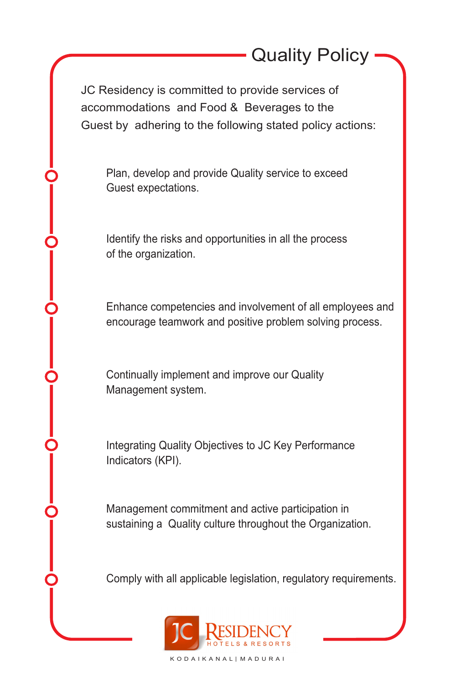JC Residency is committed to provide services of accommodations and Food & Beverages to the Guest by adhering to the following stated policy actions:

Plan, develop and provide Quality service to exceed Guest expectations.

Identify the risks and opportunities in all the process of the organization.

Enhance competencies and involvement of all employees and encourage teamwork and positive problem solving process.

Continually implement and improve our Quality Management system.

Integrating Quality Objectives to JC Key Performance Indicators (KPI).

Management commitment and active participation in sustaining a Quality culture throughout the Organization.

Comply with all applicable legislation, regulatory requirements.



K O D A I K A N A L | M A D U R A I

Quality Policy